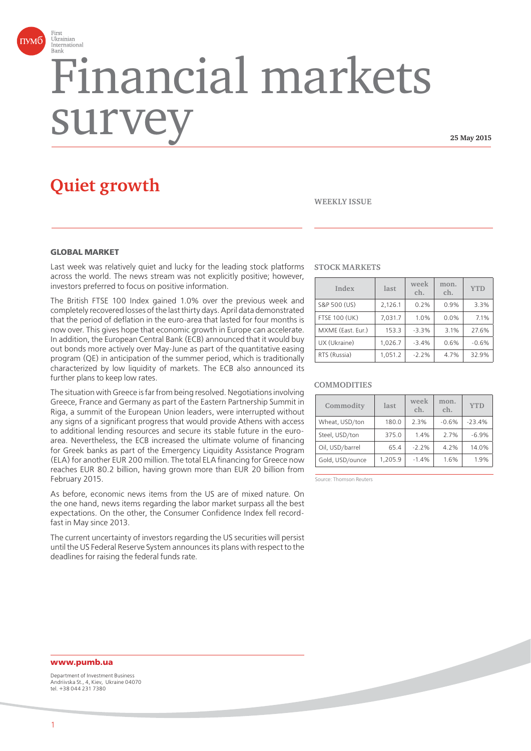

# Financial markets surv

**25 May 2015**

# **Quiet growth**

#### **WEEKLY ISSUE**

#### **GLOBAL MARKET**

Last week was relatively quiet and lucky for the leading stock platforms across the world. The news stream was not explicitly positive; however, investors preferred to focus on positive information.

The British FTSE 100 Index gained 1.0% over the previous week and completely recovered losses of the last thirty days. April data demonstrated that the period of deflation in the euro-area that lasted for four months is now over. This gives hope that economic growth in Europe can accelerate. In addition, the European Central Bank (ECB) announced that it would buy out bonds more actively over May-June as part of the quantitative easing program (QE) in anticipation of the summer period, which is traditionally characterized by low liquidity of markets. The ECB also announced its further plans to keep low rates.

The situation with Greece is far from being resolved. Negotiations involving Greece, France and Germany as part of the Eastern Partnership Summit in Riga, a summit of the European Union leaders, were interrupted without any signs of a significant progress that would provide Athens with access to additional lending resources and secure its stable future in the euroarea. Nevertheless, the ECB increased the ultimate volume of financing for Greek banks as part of the Emergency Liquidity Assistance Program (ELA) for another EUR 200 million. The total ELA financing for Greece now reaches EUR 80.2 billion, having grown more than EUR 20 billion from February 2015.

As before, economic news items from the US are of mixed nature. On the one hand, news items regarding the labor market surpass all the best expectations. On the other, the Consumer Confidence Index fell recordfast in May since 2013.

The current uncertainty of investors regarding the US securities will persist until the US Federal Reserve System announces its plans with respect to the deadlines for raising the federal funds rate.

#### **STOCK MARKETS**

| Index                | last    | week<br>ch. | mon.<br>ch. | <b>YTD</b> |
|----------------------|---------|-------------|-------------|------------|
| S&P 500 (US)         | 2,126.1 | 0.2%        | 0.9%        | 3.3%       |
| <b>FTSE 100 (UK)</b> | 7,031.7 | 1.0%        | 0.0%        | 7.1%       |
| MXME (East. Eur.)    | 153.3   | $-3.3%$     | 3.1%        | 27.6%      |
| UX (Ukraine)         | 1,026.7 | $-3.4%$     | 0.6%        | $-0.6%$    |
| RTS (Russia)         | 1,051.2 | $-2.2%$     | 4.7%        | 32.9%      |

#### **COMMODITIES**

| Commodity       | last    | week<br>ch. | mon.<br>ch. | <b>YTD</b> |
|-----------------|---------|-------------|-------------|------------|
| Wheat, USD/ton  | 180.0   | 2.3%        | $-0.6%$     | $-23.4%$   |
| Steel, USD/ton  | 375.0   | 1.4%        | 2.7%        | $-6.9%$    |
| Oil, USD/barrel | 65.4    | $-2.2%$     | 4.2%        | 14.0%      |
| Gold, USD/ounce | 1,205.9 | $-1.4%$     | 1.6%        | 1.9%       |

Source: Thomson Reuters

## **www.pumb.ua**

Department of Investment Business Andriivska St., 4, Kiev, Ukraine 04070 tel. +38 044 231 7380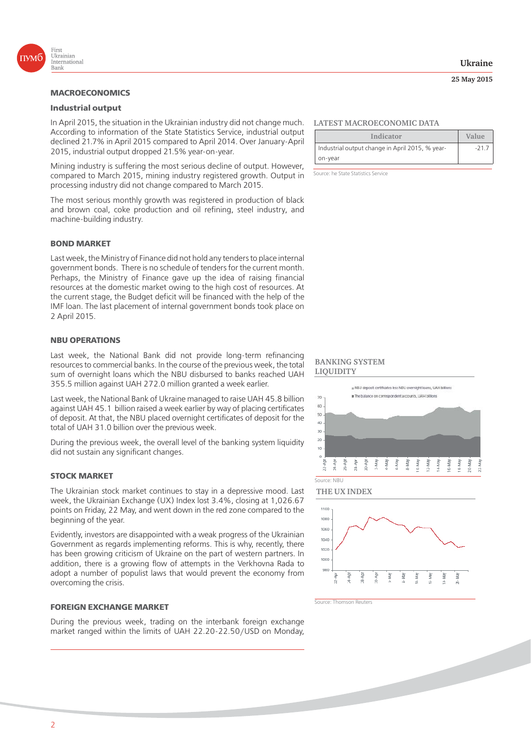

#### **Industrial output**

In April 2015, the situation in the Ukrainian industry did not change much. According to information of the State Statistics Service, industrial output declined 21.7% in April 2015 compared to April 2014. Over January-April 2015, industrial output dropped 21.5% year-on-year.

Mining industry is suffering the most serious decline of output. However, compared to March 2015, mining industry registered growth. Output in processing industry did not change compared to March 2015.

The most serious monthly growth was registered in production of black and brown coal, coke production and oil refining, steel industry, and machine-building industry.

#### **BOND MARKET**

Last week, the Ministry of Finance did not hold any tenders to place internal government bonds. There is no schedule of tenders for the current month. Perhaps, the Ministry of Finance gave up the idea of raising financial resources at the domestic market owing to the high cost of resources. At the current stage, the Budget deficit will be financed with the help of the IMF loan. The last placement of internal government bonds took place on 2 April 2015.

#### **NBU OPERATIONS**

Last week, the National Bank did not provide long-term refinancing resources to commercial banks. In the course of the previous week, the total sum of overnight loans which the NBU disbursed to banks reached UAH 355.5 million against UAH 272.0 million granted a week earlier.

Last week, the National Bank of Ukraine managed to raise UAH 45.8 billion against UAH 45.1 billion raised a week earlier by way of placing certificates of deposit. At that, the NBU placed overnight certificates of deposit for the total of UAH 31.0 billion over the previous week.

During the previous week, the overall level of the banking system liquidity did not sustain any significant changes.

#### **STOCK MARKET**

The Ukrainian stock market continues to stay in a depressive mood. Last week, the Ukrainian Exchange (UX) Index lost 3.4%, closing at 1,026.67 points on Friday, 22 May, and went down in the red zone compared to the beginning of the year.

Evidently, investors are disappointed with a weak progress of the Ukrainian Government as regards implementing reforms. This is why, recently, there has been growing criticism of Ukraine on the part of western partners. In addition, there is a growing flow of attempts in the Verkhovna Rada to adopt a number of populist laws that would prevent the economy from overcoming the crisis.

#### **FOREIGN EXCHANGE MARKET**

During the previous week, trading on the interbank foreign exchange market ranged within the limits of UAH 22.20-22.50/USD on Monday,

#### **LATEST MACROECONOMIC DATA**

| Indicator                                       | Value  |
|-------------------------------------------------|--------|
| Industrial output change in April 2015, % year- | $-217$ |
| on-year                                         |        |

Source: he State Statistics Service

#### **BANKING SYSTEM LIQUIDITY**







Source: Thomson Reuters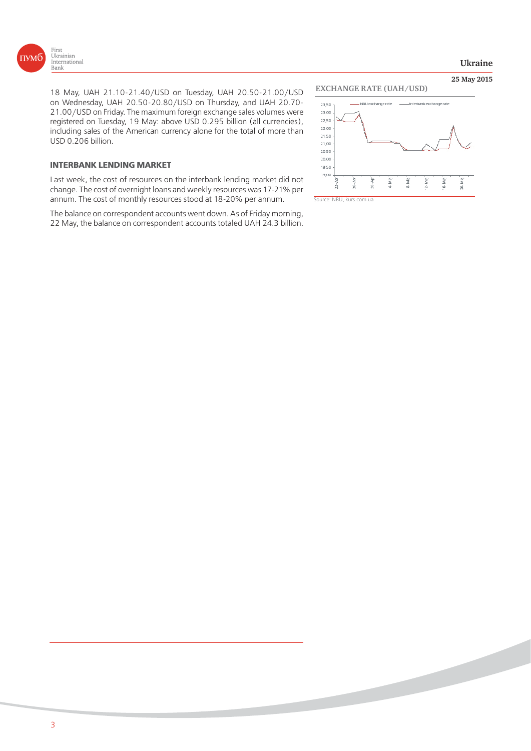

**25 May 2015**

18 May, UAH 21.10-21.40/USD on Tuesday, UAH 20.50-21.00/USD on Wednesday, UAH 20.50-20.80/USD on Thursday, and UAH 20.70- 21.00/USD on Friday. The maximum foreign exchange sales volumes were registered on Tuesday, 19 May: above USD 0.295 billion (all currencies), including sales of the American currency alone for the total of more than USD 0.206 billion.

#### **INTERBANK LENDING MARKET**

Last week, the cost of resources on the interbank lending market did not change. The cost of overnight loans and weekly resources was 17-21% per annum. The cost of monthly resources stood at 18-20% per annum.

The balance on correspondent accounts went down. As of Friday morning, 22 May, the balance on correspondent accounts totaled UAH 24.3 billion.





Source: NBU, kurs.com.ua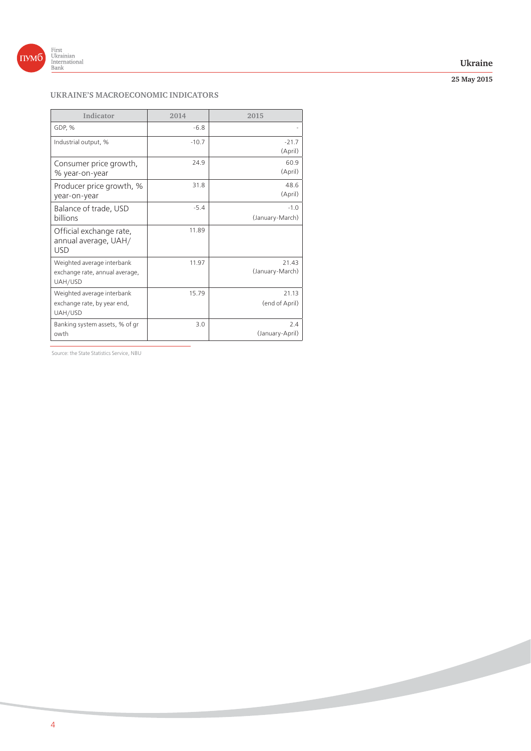

### **Ukraine**

**25 May 2015**

# **UKRAINE'S MACROECONOMIC INDICATORS**

| Indicator                                                               | 2014    | 2015                      |
|-------------------------------------------------------------------------|---------|---------------------------|
| GDP, %                                                                  | $-6.8$  |                           |
| Industrial output, %                                                    | $-10.7$ | $-21.7$<br>(April)        |
| Consumer price growth,<br>% year-on-year                                | 24.9    | 60.9<br>(April)           |
| Producer price growth, %<br>year-on-year                                | 31.8    | 48.6<br>(April)           |
| Balance of trade, USD<br><b>billions</b>                                | $-5.4$  | $-1.0$<br>(January-March) |
| Official exchange rate,<br>annual average, UAH/<br><b>USD</b>           | 11.89   |                           |
| Weighted average interbank<br>exchange rate, annual average,<br>UAH/USD | 11.97   | 21.43<br>(January-March)  |
| Weighted average interbank<br>exchange rate, by year end,<br>UAH/USD    | 15.79   | 21.13<br>(end of April)   |
| Banking system assets, % of gr<br>owth                                  | 3.0     | 2.4<br>(January-April)    |

Source: the State Statistics Service, NBU